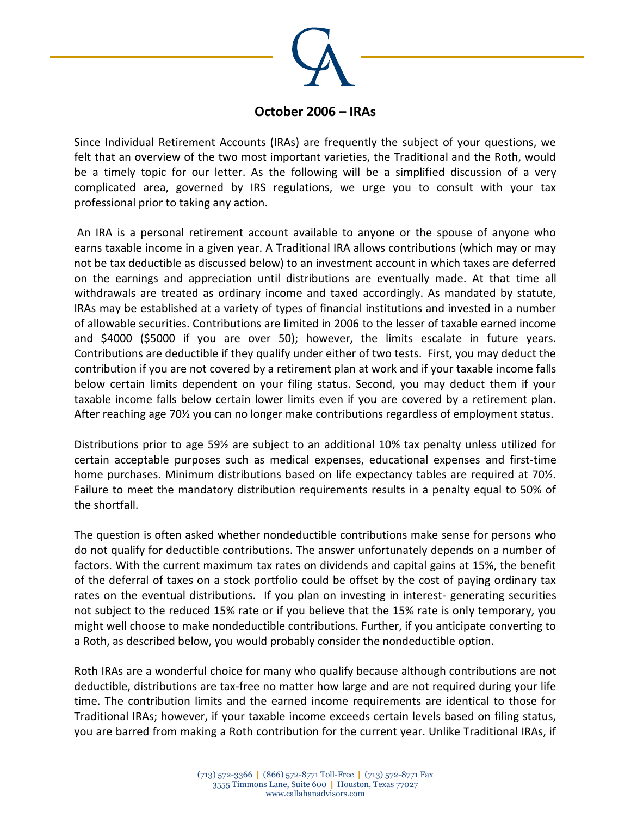

## **October 2006 – IRAs**

Since Individual Retirement Accounts (IRAs) are frequently the subject of your questions, we felt that an overview of the two most important varieties, the Traditional and the Roth, would be a timely topic for our letter. As the following will be a simplified discussion of a very complicated area, governed by IRS regulations, we urge you to consult with your tax professional prior to taking any action.

An IRA is a personal retirement account available to anyone or the spouse of anyone who earns taxable income in a given year. A Traditional IRA allows contributions (which may or may not be tax deductible as discussed below) to an investment account in which taxes are deferred on the earnings and appreciation until distributions are eventually made. At that time all withdrawals are treated as ordinary income and taxed accordingly. As mandated by statute, IRAs may be established at a variety of types of financial institutions and invested in a number of allowable securities. Contributions are limited in 2006 to the lesser of taxable earned income and \$4000 (\$5000 if you are over 50); however, the limits escalate in future years. Contributions are deductible if they qualify under either of two tests. First, you may deduct the contribution if you are not covered by a retirement plan at work and if your taxable income falls below certain limits dependent on your filing status. Second, you may deduct them if your taxable income falls below certain lower limits even if you are covered by a retirement plan. After reaching age 70½ you can no longer make contributions regardless of employment status.

Distributions prior to age 59½ are subject to an additional 10% tax penalty unless utilized for certain acceptable purposes such as medical expenses, educational expenses and first-time home purchases. Minimum distributions based on life expectancy tables are required at 70½. Failure to meet the mandatory distribution requirements results in a penalty equal to 50% of the shortfall.

The question is often asked whether nondeductible contributions make sense for persons who do not qualify for deductible contributions. The answer unfortunately depends on a number of factors. With the current maximum tax rates on dividends and capital gains at 15%, the benefit of the deferral of taxes on a stock portfolio could be offset by the cost of paying ordinary tax rates on the eventual distributions. If you plan on investing in interest- generating securities not subject to the reduced 15% rate or if you believe that the 15% rate is only temporary, you might well choose to make nondeductible contributions. Further, if you anticipate converting to a Roth, as described below, you would probably consider the nondeductible option.

Roth IRAs are a wonderful choice for many who qualify because although contributions are not deductible, distributions are tax-free no matter how large and are not required during your life time. The contribution limits and the earned income requirements are identical to those for Traditional IRAs; however, if your taxable income exceeds certain levels based on filing status, you are barred from making a Roth contribution for the current year. Unlike Traditional IRAs, if